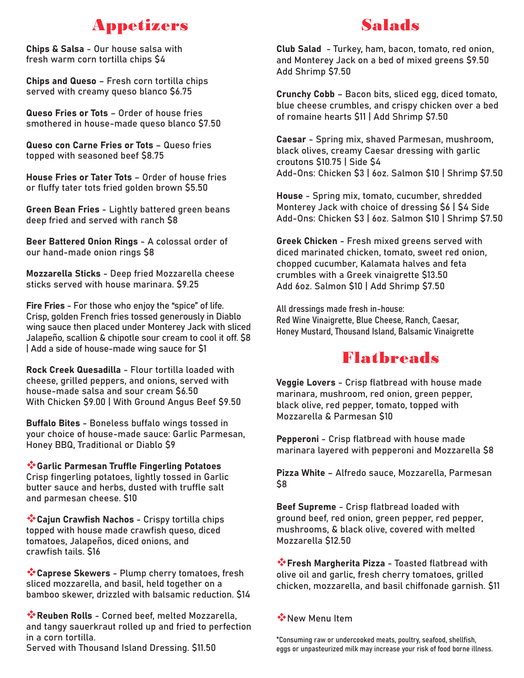# Appetizers

Chips & Salsa - Our house salsa with fresh warm corn tortilla chips \$4

Chips and Queso – Fresh corn tortilla chips served with creamy queso blanco \$6.75

Queso Fries or Tots – Order of house fries smothered in house-made queso blanco \$7.50

Queso con Carne Fries or Tots – Queso fries topped with seasoned beef \$8.75

House Fries or Tater Tots – Order of house fries or fluffy tater tots fried golden brown \$5.50

Green Bean Fries - Lightly battered green beans deep fried and served with ranch \$8

Beer Battered Onion Rings - A colossal order of our hand-made onion rings \$8

Mozzarella Sticks - Deep fried Mozzarella cheese sticks served with house marinara. \$9.25

Fire Fries - For those who enjoy the "spice" of life. Crisp, golden French fries tossed generously in Diablo wing sauce then placed under Monterey Jack with sliced Jalapeño, scallion & chipotle sour cream to cool it off. \$8 | Add a side of house-made wing sauce for \$1

Rock Creek Quesadilla - Flour tortilla loaded with cheese, grilled peppers, and onions, served with house-made salsa and sour cream \$6.50 With Chicken \$9.00 | With Ground Angus Beef \$9.50

Buffalo Bites - Boneless buffalo wings tossed in your choice of house-made sauce: Garlic Parmesan, Honey BBQ, Traditional or Diablo \$9

vGarlic Parmesan Truffle Fingerling Potatoes Crisp fingerling potatoes, lightly tossed in Garlic butter sauce and herbs, dusted with truffle salt and parmesan cheese. \$10

vCajun Crawfish Nachos - Crispy tortilla chips topped with house made crawfish queso, diced tomatoes, Jalapeños, diced onions, and crawfish tails. \$16

vCaprese Skewers - Plump cherry tomatoes, fresh sliced mozzarella, and basil, held together on a bamboo skewer, drizzled with balsamic reduction. \$14

vReuben Rolls - Corned beef, melted Mozzarella, and tangy sauerkraut rolled up and fried to perfection in a corn tortilla.

Served with Thousand Island Dressing. \$11.50

# Salads

Club Salad - Turkey, ham, bacon, tomato, red onion, and Monterey Jack on a bed of mixed greens \$9.50 Add Shrimp \$7.50

Crunchy Cobb – Bacon bits, sliced egg, diced tomato, blue cheese crumbles, and crispy chicken over a bed of romaine hearts \$11 | Add Shrimp \$7.50

Caesar - Spring mix, shaved Parmesan, mushroom, black olives, creamy Caesar dressing with garlic croutons \$10.75 | Side \$4 Add-Ons: Chicken \$3 | 6oz. Salmon \$10 | Shrimp \$7.50

House - Spring mix, tomato, cucumber, shredded Monterey Jack with choice of dressing \$6 | \$4 Side Add-Ons: Chicken \$3 | 6oz. Salmon \$10 | Shrimp \$7.50

Greek Chicken - Fresh mixed greens served with diced marinated chicken, tomato, sweet red onion, chopped cucumber, Kalamata halves and feta crumbles with a Greek vinaigrette \$13.50 Add 6oz. Salmon \$10 | Add Shrimp \$7.50

All dressings made fresh in-house: Red Wine Vinaigrette, Blue Cheese, Ranch, Caesar, Honey Mustard, Thousand Island, Balsamic Vinaigrette

### Flatbreads

Veggie Lovers - Crisp flatbread with house made marinara, mushroom, red onion, green pepper, black olive, red pepper, tomato, topped with Mozzarella & Parmesan \$10

Pepperoni - Crisp flatbread with house made marinara layered with pepperoni and Mozzarella \$8

Pizza White – Alfredo sauce, Mozzarella, Parmesan \$8

Beef Supreme - Crisp flatbread loaded with ground beef, red onion, green pepper, red pepper, mushrooms, & black olive, covered with melted Mozzarella \$12.50

vFresh Margherita Pizza - Toasted flatbread with olive oil and garlic, fresh cherry tomatoes, grilled chicken, mozzarella, and basil chiffonade garnish. \$11

#### **V**New Menu Item

\*Consuming raw or undercooked meats, poultry, seafood, shellfish, eggs or unpasteurized milk may increase your risk of food borne illness.